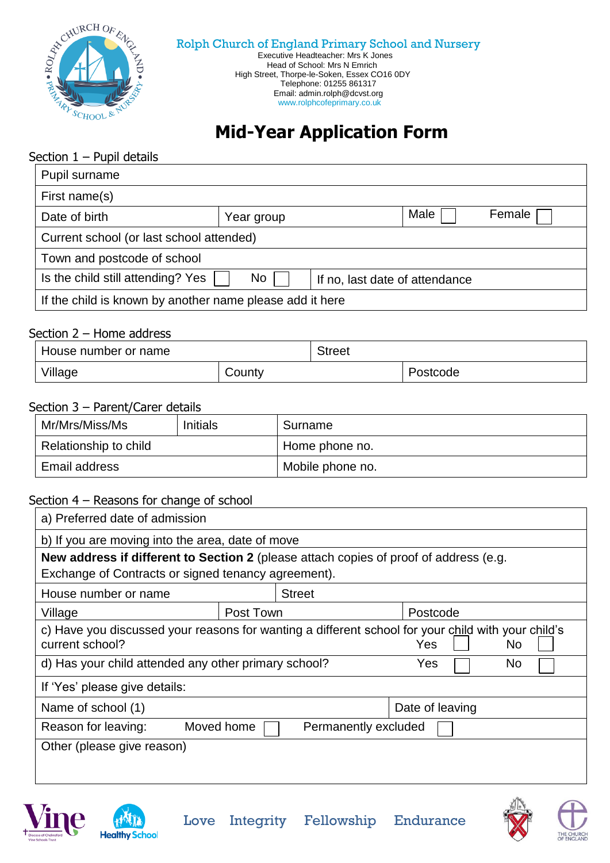

 Executive Headteacher: Mrs K Jones Head of School: Mrs N Emrich High Street, Thorpe-le-Soken, Essex CO16 0DY Telephone: 01255 861317 Email: admin.rolph@dcvst.org www[.rolphcofeprimary.co.uk](http://www.g/)

# **Mid-Year Application Form**

#### Section  $1 -$  Pupil details

| Pupil surname                                                             |            |                |  |  |
|---------------------------------------------------------------------------|------------|----------------|--|--|
| First name(s)                                                             |            |                |  |  |
| Date of birth                                                             | Year group | Male<br>Female |  |  |
| Current school (or last school attended)                                  |            |                |  |  |
| Town and postcode of school                                               |            |                |  |  |
| Is the child still attending? Yes<br>No<br>If no, last date of attendance |            |                |  |  |
| If the child is known by another name please add it here                  |            |                |  |  |

#### Section 2 – Home address

| House number or name |        | Street |          |
|----------------------|--------|--------|----------|
| Village              | County |        | 'ostcode |

#### Section 3 – Parent/Carer details

| Mr/Mrs/Miss/Ms        | <b>Initials</b> | Surname          |
|-----------------------|-----------------|------------------|
| Relationship to child |                 | Home phone no.   |
| Email address         |                 | Mobile phone no. |

#### Section 4 – Reasons for change of school

| a) Preferred date of admission                                                                                                               |               |                      |  |
|----------------------------------------------------------------------------------------------------------------------------------------------|---------------|----------------------|--|
| b) If you are moving into the area, date of move                                                                                             |               |                      |  |
| New address if different to Section 2 (please attach copies of proof of address (e.g.<br>Exchange of Contracts or signed tenancy agreement). |               |                      |  |
| House number or name                                                                                                                         | <b>Street</b> |                      |  |
| Village                                                                                                                                      | Post Town     | Postcode             |  |
| c) Have you discussed your reasons for wanting a different school for your child with your child's<br>current school?<br><b>Yes</b><br>No.   |               |                      |  |
| d) Has your child attended any other primary school?<br>No<br>Yes                                                                            |               |                      |  |
| If 'Yes' please give details:                                                                                                                |               |                      |  |
| Name of school (1)                                                                                                                           |               | Date of leaving      |  |
| Reason for leaving:                                                                                                                          | Moved home    | Permanently excluded |  |
| Other (please give reason)                                                                                                                   |               |                      |  |
|                                                                                                                                              |               |                      |  |
|                                                                                                                                              |               |                      |  |







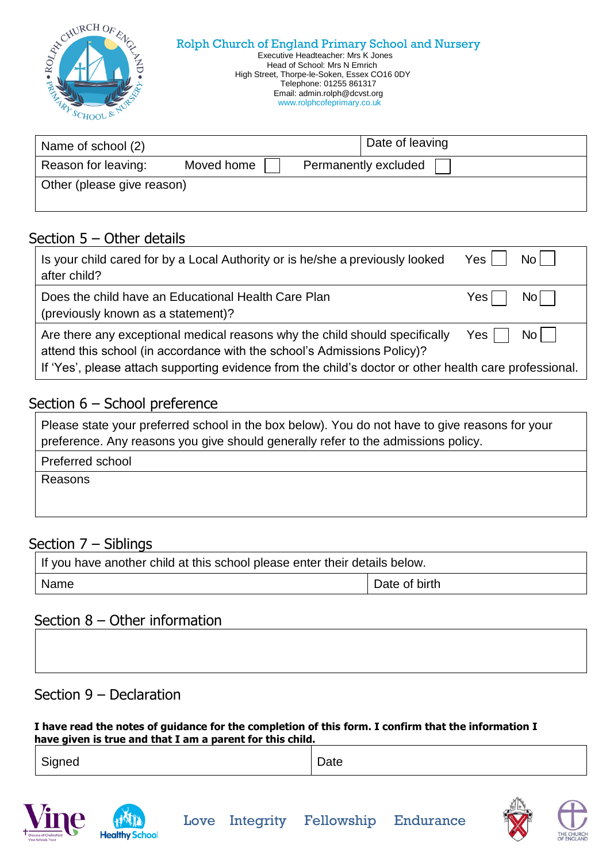| STOUMLINE OF<br>Rolph Church of England Primary School and Nursery<br>Executive Headteacher: Mrs K Jones<br>RO)<br>Head of School: Mrs N Emrich<br>High Street, Thorpe-le-Soken, Essex CO16 0DY<br>Telephone: 01255 861317<br>Email: admin.rolph@dcvst.org<br>www.rolphcofeprimary.co.uk |  |
|------------------------------------------------------------------------------------------------------------------------------------------------------------------------------------------------------------------------------------------------------------------------------------------|--|
|------------------------------------------------------------------------------------------------------------------------------------------------------------------------------------------------------------------------------------------------------------------------------------------|--|

| Name of school (2)         |            | Date of leaving      |
|----------------------------|------------|----------------------|
| Reason for leaving:        | Moved home | Permanently excluded |
| Other (please give reason) |            |                      |

### Section 5 – Other details

| Is your child cared for by a Local Authority or is he/she a previously looked                                                                                                                                                                                                         | Yes   |  |
|---------------------------------------------------------------------------------------------------------------------------------------------------------------------------------------------------------------------------------------------------------------------------------------|-------|--|
| after child?                                                                                                                                                                                                                                                                          | No II |  |
| Does the child have an Educational Health Care Plan                                                                                                                                                                                                                                   | Yes   |  |
| (previously known as a statement)?                                                                                                                                                                                                                                                    | ומא   |  |
| $No$    <br>Are there any exceptional medical reasons why the child should specifically<br>Yes l<br>attend this school (in accordance with the school's Admissions Policy)?<br>If 'Yes', please attach supporting evidence from the child's doctor or other health care professional. |       |  |

# Section 6 - School preference

| Please state your preferred school in the box below). You do not have to give reasons for your |
|------------------------------------------------------------------------------------------------|
| preference. Any reasons you give should generally refer to the admissions policy.              |

Preferred school

Reasons

### Section 7 – Siblings

| If you have another child at this school please enter their details below. |               |  |
|----------------------------------------------------------------------------|---------------|--|
| Name                                                                       | Date of birth |  |

### Section 8 – Other information

### Section 9 – Declaration

**I have read the notes of guidance for the completion of this form. I confirm that the information I have given is true and that I am a parent for this child.**

| $\sim$<br>Signed<br>۰., | ∽<br>Date |
|-------------------------|-----------|
|-------------------------|-----------|